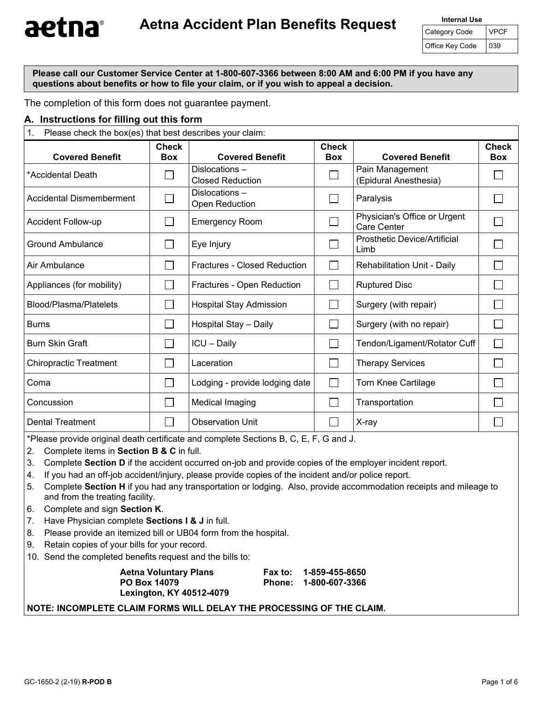**Please call our Customer Service Center at 1-800-607-3366 between 8:00 AM and 6:00 PM if you have any questions about benefits or how to file your claim, or if you wish to appeal a decision.** 

The completion of this form does not guarantee payment.

#### **A. Instructions for filling out this form**

| Please check the box(es) that best describes your claim:<br>1. |                            |                                          |                            |                                             |                            |
|----------------------------------------------------------------|----------------------------|------------------------------------------|----------------------------|---------------------------------------------|----------------------------|
| <b>Covered Benefit</b>                                         | <b>Check</b><br><b>Box</b> | <b>Covered Benefit</b>                   | <b>Check</b><br><b>Box</b> | <b>Covered Benefit</b>                      | <b>Check</b><br><b>Box</b> |
| *Accidental Death                                              |                            | Dislocations-<br><b>Closed Reduction</b> |                            | Pain Management<br>(Epidural Anesthesia)    |                            |
| <b>Accidental Dismemberment</b>                                |                            | Dislocations-<br>Open Reduction          |                            | Paralysis                                   |                            |
| <b>Accident Follow-up</b>                                      |                            | <b>Emergency Room</b>                    |                            | Physician's Office or Urgent<br>Care Center |                            |
| <b>Ground Ambulance</b>                                        |                            | Eye Injury                               |                            | <b>Prosthetic Device/Artificial</b><br>Limb |                            |
| Air Ambulance                                                  |                            | <b>Fractures - Closed Reduction</b>      |                            | Rehabilitation Unit - Daily                 |                            |
| Appliances (for mobility)                                      |                            | Fractures - Open Reduction               |                            | <b>Ruptured Disc</b>                        |                            |
| Blood/Plasma/Platelets                                         |                            | Hospital Stay Admission                  |                            | Surgery (with repair)                       |                            |
| <b>Burns</b>                                                   |                            | Hospital Stay - Daily                    |                            | Surgery (with no repair)                    |                            |
| <b>Burn Skin Graft</b>                                         |                            | ICU - Daily                              |                            | Tendon/Ligament/Rotator Cuff                |                            |
| <b>Chiropractic Treatment</b>                                  |                            | Laceration                               |                            | <b>Therapy Services</b>                     |                            |
| Coma                                                           |                            | Lodging - provide lodging date           |                            | <b>Torn Knee Cartilage</b>                  |                            |
| Concussion                                                     |                            | Medical Imaging                          |                            | Transportation                              |                            |
| <b>Dental Treatment</b>                                        |                            | <b>Observation Unit</b>                  |                            | X-ray                                       |                            |

\*Please provide original death certificate and complete Sections B, C, E, F, G and J.

2. Complete items in **Section B & C** in full.

- 3. Complete **Section D** if the accident occurred on-job and provide copies of the employer incident report.
- 4. If you had an off-job accident/injury, please provide copies of the incident and/or police report.
- 5. Complete **Section H** if you had any transportation or lodging. Also, provide accommodation receipts and mileage to and from the treating facility.
- 6. Complete and sign **Section K**.
- 7. Have Physician complete **Sections I & J** in full.
- 8. Please provide an itemized bill or UB04 form from the hospital.
- 9. Retain copies of your bills for your record.
- 10. Send the completed benefits request and the bills to:

| <b>Aetna Voluntary Plans</b>    | Fax to: 1-859-455-8650 |
|---------------------------------|------------------------|
| PO Box 14079                    | Phone: 1-800-607-3366  |
| <b>Lexington, KY 40512-4079</b> |                        |

#### **NOTE: INCOMPLETE CLAIM FORMS WILL DELAY THE PROCESSING OF THE CLAIM.**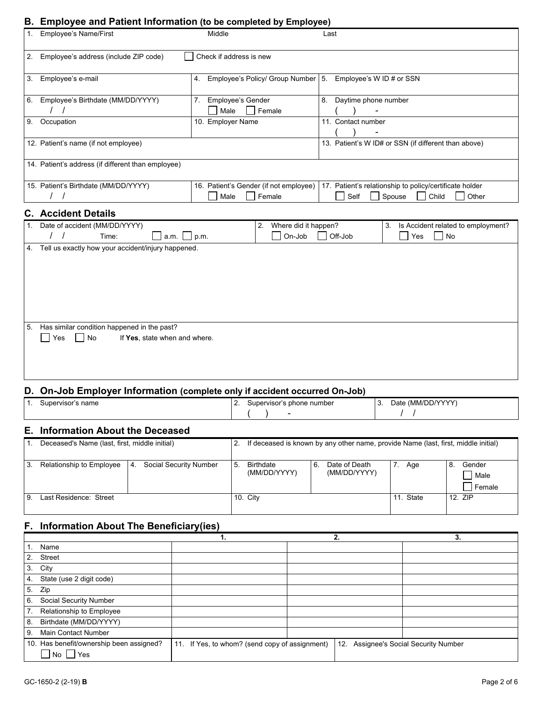### **B. Employee and Patient Information (to be completed by Employee)**

|    | D. Employee and Fatient imormation (to be completed by Employee)                                                       |                                                                  |                                                                                                     |  |  |  |
|----|------------------------------------------------------------------------------------------------------------------------|------------------------------------------------------------------|-----------------------------------------------------------------------------------------------------|--|--|--|
|    | 1. Employee's Name/First                                                                                               | Middle                                                           | Last                                                                                                |  |  |  |
| 2. | Employee's address (include ZIP code)                                                                                  | Check if address is new                                          |                                                                                                     |  |  |  |
|    | 3. Employee's e-mail                                                                                                   | 4. Employee's Policy/ Group Number   5. Employee's W ID # or SSN |                                                                                                     |  |  |  |
|    | 6. Employee's Birthdate (MM/DD/YYYY)                                                                                   | Employee's Gender<br>7.<br>Male<br>Female                        | 8. Daytime phone number                                                                             |  |  |  |
| 9. | Occupation                                                                                                             | 10. Employer Name                                                | 11. Contact number                                                                                  |  |  |  |
|    | 12. Patient's name (if not employee)                                                                                   |                                                                  | 13. Patient's W ID# or SSN (if different than above)                                                |  |  |  |
|    | 14. Patient's address (if different than employee)                                                                     |                                                                  |                                                                                                     |  |  |  |
|    | 15. Patient's Birthdate (MM/DD/YYYY)                                                                                   | 16. Patient's Gender (if not employee)<br>Male<br>Female         | 17. Patient's relationship to policy/certificate holder<br>Self<br>Spouse<br>Child<br>Other         |  |  |  |
|    | <b>C.</b> Accident Details                                                                                             |                                                                  |                                                                                                     |  |  |  |
|    | 1. Date of accident (MM/DD/YYYY)<br>Time:<br>a.m.                                                                      | Where did it happen?<br>2.<br>On-Job<br>p.m.                     | 3. Is Accident related to employment?<br>Off-Job<br>$\mathcal{L}_{\mathcal{A}}$<br>Yes<br><b>No</b> |  |  |  |
|    | 4. Tell us exactly how your accident/injury happened.                                                                  |                                                                  |                                                                                                     |  |  |  |
|    | 5. Has similar condition happened in the past?<br>$\Box$<br>Yes<br>$\vert$ $\vert$ No<br>If Yes, state when and where. |                                                                  |                                                                                                     |  |  |  |
|    | D. On-Job Employer Information (complete only if accident occurred On-Job)                                             |                                                                  |                                                                                                     |  |  |  |
|    | 1. Supervisor's name                                                                                                   | 2. Supervisor's phone number                                     | 3. Date (MM/DD/YYYY)<br>$\left  \right $                                                            |  |  |  |

## **E. Information About the Deceased**

|      | Deceased's Name (last, first, middle initial)            | 2. |                                  |    | If deceased is known by any other name, provide Name (last, first, middle initial) |           |                                |
|------|----------------------------------------------------------|----|----------------------------------|----|------------------------------------------------------------------------------------|-----------|--------------------------------|
| ' 3. | Social Security Number<br>Relationship to Employee<br>4. | 5. | <b>Birthdate</b><br>(MM/DD/YYYY) | 6. | Date of Death<br>(MM/DD/YYYY)                                                      | Age       | Gender<br>8.<br>Male<br>Female |
| -9   | Last Residence: Street                                   |    | 10. City                         |    |                                                                                    | 11. State | 12. ZIP                        |

## **F. Information About The Beneficiary(ies)**

|                                                       | 1.                                             | 2. | 3.                                    |
|-------------------------------------------------------|------------------------------------------------|----|---------------------------------------|
| Name                                                  |                                                |    |                                       |
| Street<br>2.                                          |                                                |    |                                       |
| City<br>3.                                            |                                                |    |                                       |
| State (use 2 digit code)<br>4.                        |                                                |    |                                       |
| Zip<br>5 <sub>1</sub>                                 |                                                |    |                                       |
| Social Security Number<br>6.                          |                                                |    |                                       |
| Relationship to Employee<br>7.                        |                                                |    |                                       |
| Birthdate (MM/DD/YYYY)<br>8.                          |                                                |    |                                       |
| Main Contact Number<br>9.                             |                                                |    |                                       |
| 10. Has benefit/ownership been assigned?<br>Yes<br>No | 11. If Yes, to whom? (send copy of assignment) |    | 12. Assignee's Social Security Number |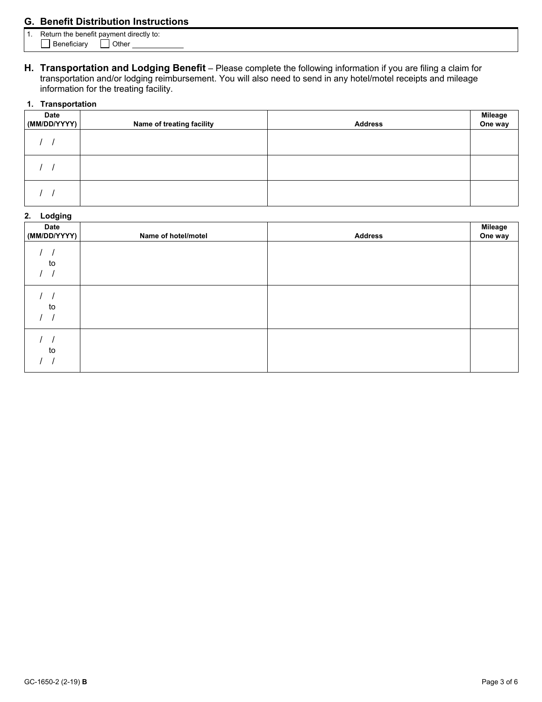## **G. Benefit Distribution Instructions**

- 1. Return the benefit payment directly to:
	- Beneficiary **I** Other
- **H. Transportation and Lodging Benefit**  Please complete the following information if you are filing a claim for transportation and/or lodging reimbursement. You will also need to send in any hotel/motel receipts and mileage information for the treating facility.

#### **1. Transportation**

| <b>Date</b><br>(MM/DD/YYYY) | Name of treating facility | <b>Address</b> | Mileage<br>One way |
|-----------------------------|---------------------------|----------------|--------------------|
|                             |                           |                |                    |
|                             |                           |                |                    |
|                             |                           |                |                    |

#### **2. Lodging**

| <b>Date</b><br>(MM/DD/YYYY) | Name of hotel/motel | <b>Address</b> | Mileage<br>One way |
|-----------------------------|---------------------|----------------|--------------------|
| to                          |                     |                |                    |
| to                          |                     |                |                    |
| to                          |                     |                |                    |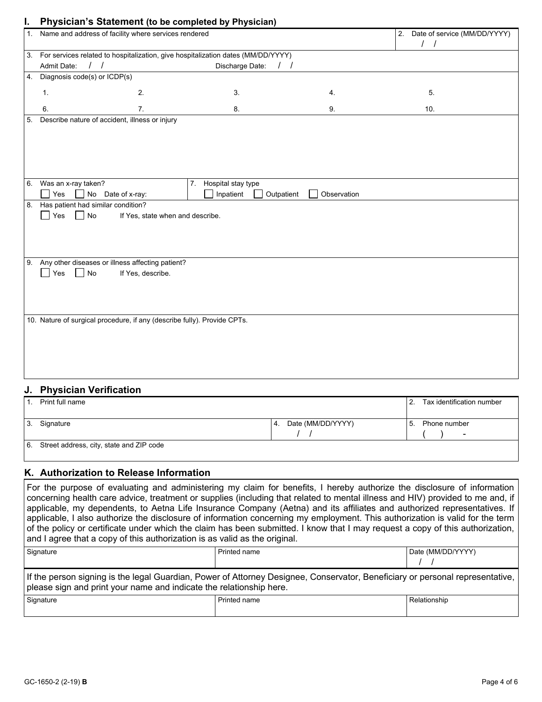|                            |                            | Physician's Statement (to be completed by Physician)                                                                                                              |                                                                                                                                                                                                                             |                                                                                                   |
|----------------------------|----------------------------|-------------------------------------------------------------------------------------------------------------------------------------------------------------------|-----------------------------------------------------------------------------------------------------------------------------------------------------------------------------------------------------------------------------|---------------------------------------------------------------------------------------------------|
| 1.                         |                            |                                                                                                                                                                   |                                                                                                                                                                                                                             | Date of service (MM/DD/YYYY)<br>2.                                                                |
|                            |                            |                                                                                                                                                                   |                                                                                                                                                                                                                             |                                                                                                   |
| Admit Date:                |                            | Discharge Date:                                                                                                                                                   | $\sqrt{ }$                                                                                                                                                                                                                  |                                                                                                   |
|                            |                            |                                                                                                                                                                   |                                                                                                                                                                                                                             |                                                                                                   |
| 1.                         | 2.                         | 3.                                                                                                                                                                | 4.                                                                                                                                                                                                                          | 5.                                                                                                |
| 6.                         | 7.                         | 8.                                                                                                                                                                | 9.                                                                                                                                                                                                                          | 10.                                                                                               |
|                            |                            |                                                                                                                                                                   |                                                                                                                                                                                                                             |                                                                                                   |
|                            |                            |                                                                                                                                                                   |                                                                                                                                                                                                                             |                                                                                                   |
| 6. Was an x-ray taken?     |                            | 7. Hospital stay type                                                                                                                                             |                                                                                                                                                                                                                             |                                                                                                   |
| Yes<br>$\mathsf{No}$       |                            | Inpatient                                                                                                                                                         | Observation                                                                                                                                                                                                                 |                                                                                                   |
| Yes<br>No<br>$\mathcal{L}$ |                            |                                                                                                                                                                   |                                                                                                                                                                                                                             |                                                                                                   |
|                            |                            |                                                                                                                                                                   |                                                                                                                                                                                                                             |                                                                                                   |
|                            |                            |                                                                                                                                                                   |                                                                                                                                                                                                                             |                                                                                                   |
|                            |                            |                                                                                                                                                                   |                                                                                                                                                                                                                             |                                                                                                   |
|                            |                            |                                                                                                                                                                   |                                                                                                                                                                                                                             |                                                                                                   |
|                            | Yes<br>$\Box$ No<br>$\sim$ | 4. Diagnosis code(s) or ICDP(s)<br>Describe nature of accident, illness or injury<br>Date of x-ray:<br>8. Has patient had similar condition?<br>If Yes, describe. | Name and address of facility where services rendered<br>If Yes, state when and describe.<br>9. Any other diseases or illness affecting patient?<br>10. Nature of surgical procedure, if any (describe fully). Provide CPTs. | 3. For services related to hospitalization, give hospitalization dates (MM/DD/YYYY)<br>Outpatient |

### **J. Physician Verification**

|           | Print full name                          |     |                   | 12.  | Tax identification number |
|-----------|------------------------------------------|-----|-------------------|------|---------------------------|
| ' 3.      | Signature                                | -4. | Date (MM/DD/YYYY) | l 5. | Phone number<br>-         |
| <b>6.</b> | Street address, city, state and ZIP code |     |                   |      |                           |

#### **K. Authorization to Release Information**

For the purpose of evaluating and administering my claim for benefits, I hereby authorize the disclosure of information concerning health care advice, treatment or supplies (including that related to mental illness and HIV) provided to me and, if applicable, my dependents, to Aetna Life Insurance Company (Aetna) and its affiliates and authorized representatives. If applicable, I also authorize the disclosure of information concerning my employment. This authorization is valid for the term of the policy or certificate under which the claim has been submitted. I know that I may request a copy of this authorization, and I agree that a copy of this authorization is as valid as the original.

| Signature                                                                                                                                                                                            | <b>Printed name</b> | Date (MM/DD/YYYY) |
|------------------------------------------------------------------------------------------------------------------------------------------------------------------------------------------------------|---------------------|-------------------|
| If the person signing is the legal Guardian, Power of Attorney Designee, Conservator, Beneficiary or personal representative,<br>please sign and print your name and indicate the relationship here. |                     |                   |
| Signature                                                                                                                                                                                            | <b>Printed name</b> | Relationship      |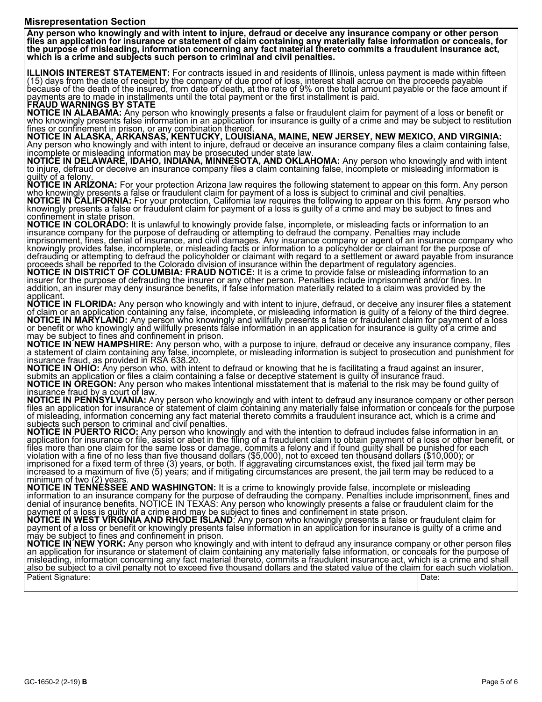#### **Misrepresentation Section**

**Any person who knowingly and with intent to injure, defraud or deceive any insurance company or other person** files an application for insurance or statement of claim containing any materially false information or conceals, for<br>the purpose of misleading, information concerning any fact material thereto commits a fraudulent insuran **which is a crime and subjects such person to criminal and civil penalties.** 

ILLINOIS INTEREST STATEMENT: For contracts issued in and residents of Illinois, unless payment is made within fifteen<br>(15) days from the date of receipt by the company of due proof of loss, interest shall accrue on the pro

**NOTICE IN ALABAMA:** Any person who knowingly presents a false or fraudulent claim for payment of a loss or benefit or<br>who knowingly presents false information in an application for insurance is guilty of a crime and may b

Thes or confinement in prison, or any combination thereof.<br>NOTICE IN ALASKA, ARKANSAS, KENTUCKY, LOUISIANA, MAINE, NEW JERSEY, NEW MEXICO, AND VIRGINIA: Any person who knowingly and with intent to injure, defraud or deceive an insurance company files a claim containing false, incomplete or misleading information may be prosecuted under state law.<br>NOTICE IN DELAWARE, IDAHO,

to injure, defraud or deceive an insurance company files a claim containing false, incomplete or misleading information is<br>quilty of a felony.

**NOTICE IN ARIZONA:** For your protection Arizona law requires the following statement to appear on this form. Any person **ÑOTICE IN ARÍZONA:** For your protection Arizona law requires the following statement to appear on this form. Any person<br>who knowingly presents a false or fraudulent claim for payment of a loss is subject to criminal and c confinement in state prison.

NOTICE IN COLORADO: It is unlawful to knowingly provide false, incomplete, or misleading facts or information to an<br>insurance company for the purpose of defrauding or attempting to defraud the company. Penalties may includ imprisonment, fines, denial of insurance, and civil damages. Any insurance company or agent of an insurance company who<br>knowingly provides false, incomplete, or misleading facts or information to a policyholder or claimant

NOTICE IN FLORIDA: Any person who knowingly and with intent to injure, defraud, or deceive any insurer files a statement<br>of claim or an application containing any false, incomplete, or misleading information is guilty of a

NOTICE IN OHIO: Any person who, with intent to defraud or knowing that he is facilitating a fraud against an insurer,<br>submits an application or files a claim containing a false or deceptive statement is guilty of insurance

of misleading, information concerning any fact material thereto commits a fraudulent insurance act, which is a crime and<br>subjects such person to criminal and civil penalties.

**NOTICE IN PUERTO RICO:** Any person who knowingly and with the intention to defraud includes false information in an<br>application for insurance or file, assist or abet in the filing of a fraudulent claim to obtain payment o files more than one claim for the same loss or damage, commits a felony and if found guilty shall be punished for each<br>violation with a fine of no less than five thousand dollars (\$5,000), not to exceed ten thousand dollar

**NOTICE IN´NEW YORK:** Any person who knowingly and with intent to defraud any insurance company or other person files<br>an application for insurance or statement of claim containing any materially false information, or conce misleading, information concerning any fact material thereto, commits a fraudulent insurance act, which is a crime and shall<br>also be subject to a civil penalty not to exceed five thousand dollars and the stated value of th Patient Signature: Date: Date: Date: Date: Date: Date: Date: Date: Date: Date: Date: Date: Date: Date: Date: D